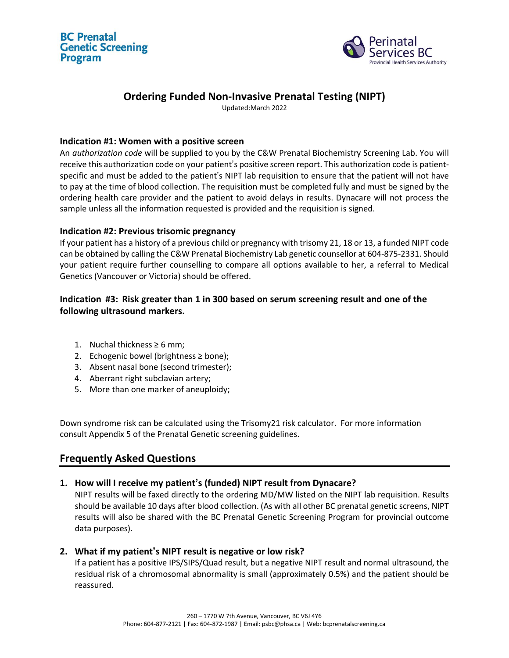



# **Ordering Funded Non-Invasive Prenatal Testing (NIPT)**

Updated:March 2022

### **Indication #1: Women with a positive screen**

An *authorization code* will be supplied to you by the C&W Prenatal Biochemistry Screening Lab. You will receive this authorization code on your patient's positive screen report. This authorization code is patientspecific and must be added to the patient's NIPT lab requisition to ensure that the patient will not have to pay at the time of blood collection. The requisition must be completed fully and must be signed by the ordering health care provider and the patient to avoid delays in results. Dynacare will not process the sample unless all the information requested is provided and the requisition is signed.

## **Indication #2: Previous trisomic pregnancy**

If your patient has a history of a previous child or pregnancy with trisomy 21, 18 or 13, a funded NIPT code can be obtained by calling the C&W Prenatal Biochemistry Lab genetic counsellor at 604-875-2331. Should your patient require further counselling to compare all options available to her, a referral to Medical Genetics (Vancouver or Victoria) should be offered.

# **Indication #3: Risk greater than 1 in 300 based on serum screening result and one of the following ultrasound markers.**

- 1. Nuchal thickness  $\geq 6$  mm;
- 2. Echogenic bowel (brightness ≥ bone);
- 3. Absent nasal bone (second trimester);
- 4. Aberrant right subclavian artery;
- 5. More than one marker of aneuploidy;

Down syndrome risk can be calculated using the Trisomy21 risk calculator. For more information consult Appendix 5 of the Prenatal Genetic screening guidelines.

# **Frequently Asked Questions**

# **1. How will I receive my patient's (funded) NIPT result from Dynacare?**

NIPT results will be faxed directly to the ordering MD/MW listed on the NIPT lab requisition. Results should be available 10 days after blood collection. (As with all other BC prenatal genetic screens, NIPT results will also be shared with the BC Prenatal Genetic Screening Program for provincial outcome data purposes).

### **2. What if my patient's NIPT result is negative or low risk?**

If a patient has a positive IPS/SIPS/Quad result, but a negative NIPT result and normal ultrasound, the residual risk of a chromosomal abnormality is small (approximately 0.5%) and the patient should be reassured.